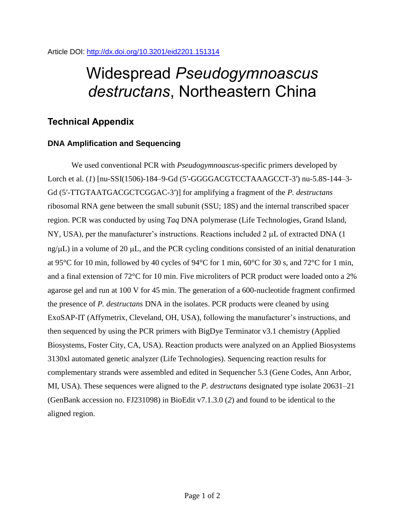# Widespread *Pseudogymnoascus destructans*, Northeastern China

## **Technical Appendix**

### **DNA Amplification and Sequencing**

We used conventional PCR with *Pseudogymnoascus*-specific primers developed by Lorch et al. (*1*) [nu-SSI(1506)-184–9-Gd (5′-GGGGACGTCCTAAAGCCT-3′) nu-5.8S-144–3- Gd (5′-TTGTAATGACGCTCGGAC-3′)] for amplifying a fragment of the *P. destructans* ribosomal RNA gene between the small subunit (SSU; 18S) and the internal transcribed spacer region. PCR was conducted by using *Taq* DNA polymerase (Life Technologies, Grand Island, NY, USA), per the manufacturer's instructions. Reactions included  $2 \mu L$  of extracted DNA (1)  $n g/\mu L$ ) in a volume of 20  $\mu$ L, and the PCR cycling conditions consisted of an initial denaturation at 95°C for 10 min, followed by 40 cycles of 94°C for 1 min, 60°C for 30 s, and 72°C for 1 min, and a final extension of 72°C for 10 min. Five microliters of PCR product were loaded onto a 2% agarose gel and run at 100 V for 45 min. The generation of a 600-nucleotide fragment confirmed the presence of *P. destructans* DNA in the isolates. PCR products were cleaned by using ExoSAP-IT (Affymetrix, Cleveland, OH, USA), following the manufacturer's instructions, and then sequenced by using the PCR primers with BigDye Terminator v3.1 chemistry (Applied Biosystems, Foster City, CA, USA). Reaction products were analyzed on an Applied Biosystems 3130xl automated genetic analyzer (Life Technologies). Sequencing reaction results for complementary strands were assembled and edited in Sequencher 5.3 (Gene Codes, Ann Arbor, MI, USA). These sequences were aligned to the *P. destructans* designated type isolate 20631–21 (GenBank accession no. FJ231098) in BioEdit v7.1.3.0 (*2*) and found to be identical to the aligned region.